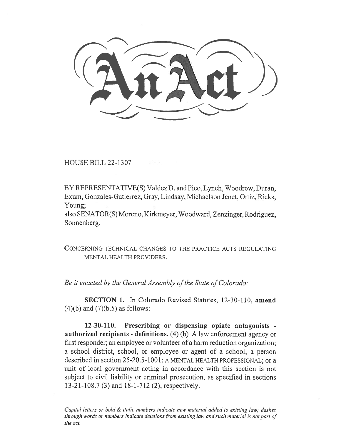HOUSE BILL 22-1307

BY REPRESENTATIVE(S) Valdez D. and Pico, Lynch, Woodrow, Duran, Exum, Gonzales-Gutierrez, Gray, Lindsay, Michaelson Jenet, Ortiz, Ricks, Young;

also SENATOR(S) Moreno, Kirkmeyer, Woodward, Zenzinger, Rodriguez, Sonnenberg.

CONCERNING TECHNICAL CHANGES TO THE PRACTICE ACTS REGULATING MENTAL HEALTH PROVIDERS.

Be it enacted by the General Assembly of the State of Colorado:

SECTION 1. In Colorado Revised Statutes, 12-30-110, amend  $(4)(b)$  and  $(7)(b.5)$  as follows:

12-30-110. Prescribing or dispensing opiate antagonists authorized recipients - definitions.  $(4)$  (b) A law enforcement agency or first responder; an employee or volunteer of a harm reduction organization; a school district, school, or employee or agent of a school; a person described in section 25-20.5-1001; A MENTAL HEALTH PROFESSIONAL; or a unit of local government acting in accordance with this section is not subject to civil liability or criminal prosecution, as specified in sections 13-21-108.7 (3) and 18-1-712 (2), respectively.

Capital letters or bold  $&$  italic numbers indicate new material added to existing law; dashes through words or numbers indicate deletions from existing law and such material is not part of the act.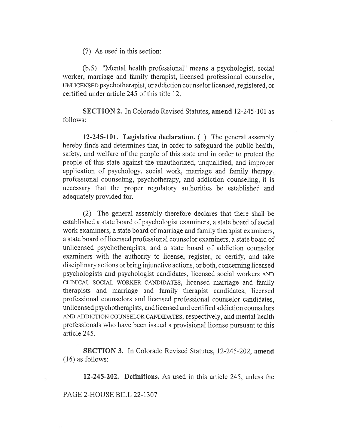(7) As used in this section:

(b.5) "Mental health professional" means a psychologist, social worker, marriage and family therapist, licensed professional counselor, UNLICENSED psychotherapist, or addiction counselor licensed, registered, or certified under article 245 of this title 12.

SECTION 2. In Colorado Revised Statutes, amend 12-245-101 as follows:

12-245-101. Legislative declaration. (1) The general assembly hereby finds and determines that, in order to safeguard the public health, safety, and welfare of the people of this state and in order to protect the people of this state against the unauthorized, unqualified, and improper application of psychology, social work, marriage and family therapy, professional counseling, psychotherapy, and addiction counseling, it is necessary that the proper regulatory authorities be established and adequately provided for.

(2) The general assembly therefore declares that there shall be established a state board of psychologist examiners, a state board of social work examiners, a state board of marriage and family therapist examiners, a state board of licensed professional counselor examiners, a state board of unlicensed psychotherapists, and a state board of addiction counselor examiners with the authority to license, register, or certify, and take disciplinary actions or bring injunctive actions, or both, concerning licensed psychologists and psychologist candidates, licensed social workers AND CLINICAL SOCIAL WORKER CANDIDATES, licensed marriage and family therapists and marriage and family therapist candidates, licensed professional counselors and licensed professional counselor candidates, unlicensed psychotherapists, and licensed and certified addiction counselors AND ADDICTION COUNSELOR CANDIDATES, respectively, and mental health professionals who have been issued a provisional license pursuant to this article 245.

SECTION 3. In Colorado Revised Statutes, 12-245-202, amend (16) as follows:

12-245-202. Definitions. As used in this article 245, unless the

PAGE 2-HOUSE BILL 22-1307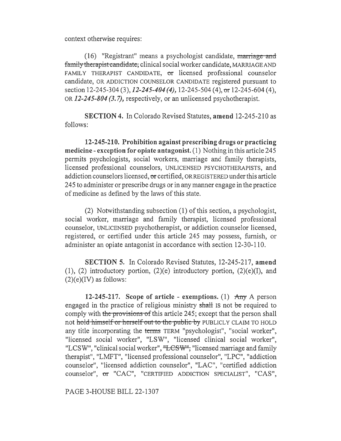context otherwise requires:

 $(16)$  "Registrant" means a psychologist candidate, marriage and family therapist candidate, clinical social worker candidate, MARRIAGE AND FAMILY THERAPIST CANDIDATE, or licensed professional counselor candidate, OR ADDICTION COUNSELOR CANDIDATE registered pursuant to section 12-245-304 (3), 12-245-404 (4), 12-245-504 (4), or 12-245-604 (4), OR 12-245-804 (3.7), respectively, or an unlicensed psychotherapist.

SECTION 4. In Colorado Revised Statutes, amend 12-245-210 as follows:

12-245-210. Prohibition against prescribing drugs or practicing medicine - exception for opiate antagonist. (1) Nothing in this article 245 permits psychologists, social workers, marriage and family therapists, licensed professional counselors, UNLICENSED PSYCHOTHERAPISTS, and addiction counselors licensed, or certified, OR REGISTERED under this article 245 to administer or prescribe drugs or in any manner engage in the practice of medicine as defined by the laws of this state.

(2) Notwithstanding subsection (1) of this section, a psychologist, social worker, marriage and family therapist, licensed professional counselor, UNLICENSED psychotherapist, or addiction counselor licensed, registered, or certified under this article 245 may possess, furnish, or administer an opiate antagonist in accordance with section 12-30-110.

SECTION 5. In Colorado Revised Statutes, 12-245-217, amend  $(1)$ ,  $(2)$  introductory portion,  $(2)(e)$  introductory portion,  $(2)(e)(I)$ , and  $(2)(e)(IV)$  as follows:

12-245-217. Scope of article - exemptions. (1)  $\text{Any } A$  person engaged in the practice of religious ministry shall IS not be required to comply with the provisions of this article 245; except that the person shall not hold himself or herself out to the public by PUBLICLY CLAIM TO HOLD any title incorporating the terms TERM "psychologist", "social worker", "licensed social worker", "LSW", "licensed clinical social worker", "LCSW", "clinical social worker", "LCSW", "licensed marriage and family therapist", "LMFT", "licensed professional counselor", "LPC", "addiction counselor", "licensed addiction counselor", "LAC", "certified addiction counselor", or "CAC", "CERTIFIED ADDICTION SPECIALIST", "CAS",

PAGE 3-HOUSE BILL 22-1307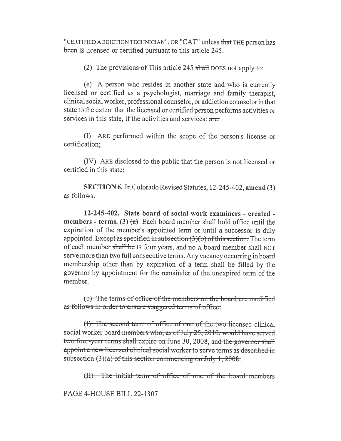"CERTIFIED ADDICTION TECHNICIAN", OR "CAT" unless that THE person has been is licensed or certified pursuant to this article 245.

(2) The provisions of This article 245 shall DOES not apply to:

(e) A person who resides in another state and who is currently licensed or certified as a psychologist, marriage and family therapist, clinical social worker, professional counselor, or addiction counselor in that state to the extent that the licensed or certified person performs activities or services in this state, if the activities and services: are:

(I) ARE performed within the scope of the person's license or certification;

(IV) ARE disclosed to the public that the person is not licensed or certified in this state;

SECTION 6. In Colorado Revised Statutes, 12-245-402, amend (3) as follows:

12-245-402. State board of social work examiners - created **members - terms.** (3)  $\left(\alpha\right)$  Each board member shall hold office until the expiration of the member's appointed term or until a successor is duly appointed. Except as specified in subsection  $(3)(b)$  of this section, The term of each member shall be IS four years, and no A board member shall NOT serve more than two full consecutive terms. Any vacancy occurring in board membership other than by expiration of a term shall be filled by the governor by appointment for the remainder of the unexpired term of the member.

(b) The terms of office of the members on the board are modified as follows in order to ensure staggered terms of office:

(I) The second term of office of one of the two licensed clinical social worker board members who, as of July 25, 2010, would have served two four-year terms shall expire on June 30, 2008, and the governor shall appoint a new licensed clinical social worker to serve terms as described in subsection  $(3)(a)$  of this section commencing on July 1, 2008.

(II) The initial term of office of one of the board members

PAGE 4-HOUSE BILL 22-1307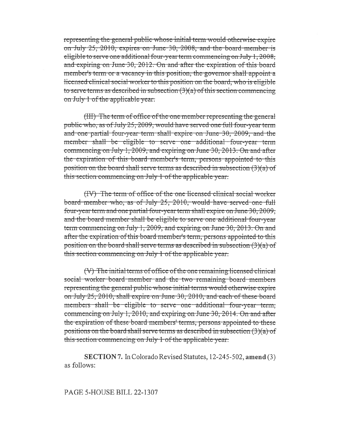representing the general public whose initial term would otherwise expire on July 25, 2010, expires on June 30, 2008, and the board member is eligible to serve one additional four-year term commencing on July 1, 2008, and expiring on June 30, 2012. On and after the expiration of this board member's term or a vacancy in this position, the governor shall appoint a licensed clinical social worker to this position on the board, who is eligible to serve terms as described in subsection  $(3)(a)$  of this section commencing on July 1 of the applicable year.

(III) The term of office of the one member representing the general public who, as of July 25, 2009, would have served one full four-year term and one partial four-year term shall expire on June 30, 2009, and the member shall be eligible to serve one additional four-year term commencing on July 1, 2009, and expiring on June 30, 2013. On and after the expiration of this board member's term, persons appointed to this position on the board shall serve terms as described in subsection  $(3)(a)$  of this section commencing on July 1 of the applicable year.

(IV) The term of office of the one licensed clinical social worker board member who, as of July 25, 2010, would have served one full four-year term and one partial four-year term shall expire on June 30, 2009; and the board member shall be eligible to serve one additional four-year term commencing on July 1, 2009, and expiring on June 30, 2013. On and after the expiration of this board member's term, persons appointed to this position on the board shall serve terms as described in subsection  $(3)(a)$  of this section commencing on July 1 of the applicable year.

(V) The initial terms of office of the one remaining licensed clinical social worker board member and the two remaining board members representing the general public whose initial terms would otherwise expire on July 25, 2010, shall expire on June 30, 2010, and each of these board members shall be eligible to serve one additional four-year term, commencing on July 1, 2010, and expiring on June 30, 2014. On and after the expiration of these board members' terms, persons appointed to these positions on the board shall serve terms as described in subsection  $(3)(a)$  of this section commencing on July 1 of the applicable year.

**SECTION 7.** In Colorado Revised Statutes, 12-245-502, amend (3) as follows:

PAGE 5-HOUSE BILL 22-1307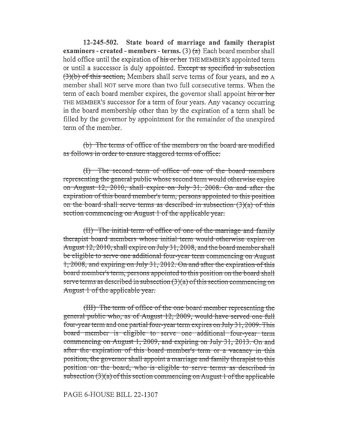$12 - 245 - 502$ State board of marriage and family therapist examiners - created - members - terms. (3)  $(a)$  Each board member shall hold office until the expiration of his or her THE MEMBER's appointed term or until a successor is duly appointed. Except as specified in subsection (3)(b) of this section; Members shall serve terms of four years, and no A member shall NOT serve more than two full consecutive terms. When the term of each board member expires, the governor shall appoint his or her THE MEMBER'S successor for a term of four years. Any vacancy occurring in the board membership other than by the expiration of a term shall be filled by the governor by appointment for the remainder of the unexpired term of the member.

(b) The terms of office of the members on the board are modified as follows in order to ensure staggered terms of office:

(I) The second term of office of one of the board members representing the general public whose second term would otherwise expire on August 12, 2010, shall expire on July 31, 2008. On and after the expiration of this board member's term, persons appointed to this position on the board shall serve terms as described in subsection  $(3)(a)$  of this section commencing on August 1 of the applicable year.

(II) The initial term of office of one of the marriage and family therapist board members whose initial term would otherwise expire on August 12, 2010, shall expire on July 31, 2008, and the board member shall be eligible to serve one additional four-year term commencing on August 1, 2008, and expiring on July 31, 2012. On and after the expiration of this board member's term, persons appointed to this position on the board shall serve terms as described in subsection  $(3)(a)$  of this section commencing on August 1 of the applicable year:

(III) The term of office of the one board member representing the general public who, as of August 12, 2009, would have served one full four-year term and one partial four-year term expires on July 31, 2009. This board member is eligible to serve one additional four-year term commencing on August 1, 2009, and expiring on July 31, 2013. On and after the expiration of this board member's term or a vacancy in this position, the governor shall appoint a marriage and family therapist to this position on the board, who is eligible to serve terms as described in subsection  $(3)(a)$  of this section commencing on August 1 of the applicable

## PAGE 6-HOUSE BILL 22-1307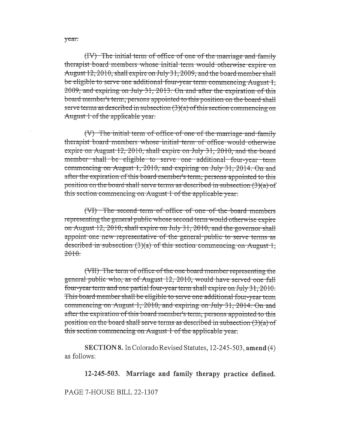(IV) The initial term of office of one of the marriage and family therapist board members whose initial term would otherwise expire on August 12, 2010, shall expire on July 31, 2009, and the board member shall be eligible to serve one additional four-year term commencing August 1, 2009, and expiring on July 31, 2013. On and after the expiration of this board member's term, persons appointed to this position on the board shall serve terms as described in subsection  $(3)(a)$  of this section commencing on August 1 of the applicable year.

(V) The initial term of office of one of the marriage and family therapist board members whose initial term of office would otherwise expire on August 12, 2010, shall expire on July 31, 2010, and the board member shall be eligible to serve one additional four-year term commencing on August 1, 2010, and expiring on July 31, 2014. On and after the expiration of this board member's term, persons appointed to this position on the board shall serve terms as described in subsection  $(3)(a)$  of this section commencing on August 1 of the applicable year.

(VI) The second term of office of one of the board members representing the general public whose second term would otherwise expire on August 12, 2010, shall expire on July 31, 2010, and the governor shall appoint one new representative of the general public to serve terms as described in subsection  $(3)(a)$  of this section commencing on August 1.  $2010.$ 

(VII) The term of office of the one board member representing the general public who, as of August 12, 2010, would have served one full four-year term and one partial four-year term shall expire on July 31, 2010. This board member shall be eligible to serve one additional four-year term commencing on August 1, 2010, and expiring on July 31, 2014. On and after the expiration of this board member's term, persons appointed to this position on the board shall serve terms as described in subsection  $(3)(a)$  of this section commencing on August 1 of the applicable year.

SECTION 8. In Colorado Revised Statutes, 12-245-503, amend (4) as follows:

12-245-503. Marriage and family therapy practice defined.

PAGE 7-HOUSE BILL 22-1307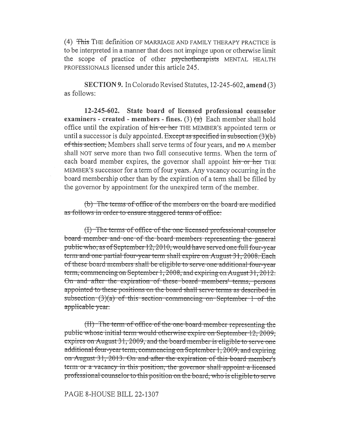(4) This THE definition OF MARRIAGE AND FAMILY THERAPY PRACTICE is to be interpreted in a manner that does not impinge upon or otherwise limit the scope of practice of other psychotherapists MENTAL HEALTH PROFESSIONALS licensed under this article 245.

SECTION 9. In Colorado Revised Statutes, 12-245-602, amend (3) as follows:

12-245-602. State board of licensed professional counselor examiners - created - members - fines. (3)  $(a)$  Each member shall hold office until the expiration of his or her THE MEMBER's appointed term or until a successor is duly appointed. Except as specified in subsection  $(3)(b)$ of this section. Members shall serve terms of four years, and no A member shall NOT serve more than two full consecutive terms. When the term of each board member expires, the governor shall appoint his or her THE MEMBER'S successor for a term of four years. Any vacancy occurring in the board membership other than by the expiration of a term shall be filled by the governor by appointment for the unexpired term of the member.

(b) The terms of office of the members on the board are modified as follows in order to ensure staggered terms of office:

(I) The terms of office of the one licensed professional counselor board member and one of the board members representing the general public who, as of September 12, 2010, would have served one full four-year term and one partial four-year term shall expire on August 31, 2008. Each of these board members shall be eligible to serve one additional four-year term, commencing on September 1, 2008, and expiring on August 31, 2012. On and after the expiration of these board members' terms, persons appointed to these positions on the board shall serve terms as described in subsection  $(3)(a)$  of this section commencing on September 1 of the applicable year.

(II) The term of office of the one board member representing the public whose initial term would otherwise expire on September 12, 2009, expires on August 31, 2009, and the board member is eligible to serve one additional four-year term, commencing on September 1, 2009, and expiring on August 31, 2013. On and after the expiration of this board member's term or a vacancy in this position, the governor shall appoint a licensed professional counselor to this position on the board, who is eligible to serve

## PAGE 8-HOUSE BILL 22-1307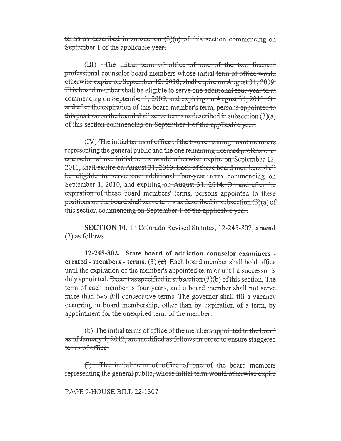terms as described in subsection  $(3)(a)$  of this section commencing on September 1 of the applicable year.

(III) The initial term of office of one of the two licensed professional counselor board members whose initial term of office would otherwise expire on September 12, 2010, shall expire on August 31, 2009. This board member shall be eligible to serve one additional four-year term commencing on September 1, 2009, and expiring on August 31, 2013. On and after the expiration of this board member's term, persons appointed to this position on the board shall serve terms as described in subsection  $(3)(a)$ of this section commencing on September 1 of the applicable year.

(IV) The initial terms of office of the two remaining board members representing the general public and the one remaining licensed professional counselor whose initial terms would otherwise expire on September 12, 2010, shall expire on August 31, 2010. Each of these board members shall be eligible to serve one additional four-year term commencing on September 1, 2010, and expiring on August 31, 2014. On and after the expiration of these board members' terms, persons appointed to these positions on the board shall serve terms as described in subsection  $(3)(a)$  of this section commencing on September 1 of the applicable year.

**SECTION 10.** In Colorado Revised Statutes, 12-245-802, amend (3) as follows:

12-245-802. State board of addiction counselor examiners created - members - terms. (3)  $(a)$  Each board member shall hold office until the expiration of the member's appointed term or until a successor is duly appointed. Except as specified in subsection  $(3)(b)$  of this section, The term of each member is four years, and a board member shall not serve more than two full consecutive terms. The governor shall fill a vacancy occurring in board membership, other than by expiration of a term, by appointment for the unexpired term of the member.

(b) The initial terms of office of the members appointed to the board as of January 1, 2012, are modified as follows in order to ensure staggered terms of office:

 $(f)$  The initial term of office of one of the board members representing the general public, whose initial term would otherwise expire

PAGE 9-HOUSE BILL 22-1307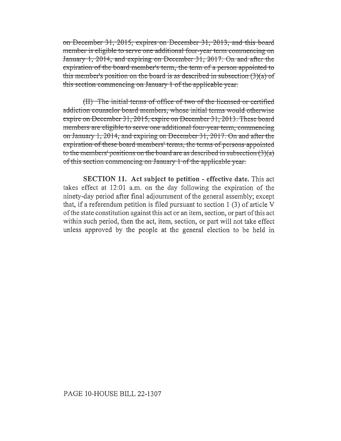on December 31, 2015, expires on December 31, 2013, and this board member is eligible to serve one additional four-year term commencing on January 1, 2014, and expiring on December 31, 2017. On and after the expiration of the board-member's term, the term of a person appointed to this member's position on the board-is-as-described-in-subsection  $(3)(a)$  of this-section-commencing-on-January-1-of the-applicable-year.

(II) The initial terms of office of two of the licensed or certified addiction counselor board members, whose initial terms would otherwise expire on December 31, 2015, expire on December 31, 2013. These board members are eligible to serve one additional four-year term, commencing on January 1, 2014, and expiring on December 31, 2017. On and after the expiration of these board members' terms, the terms of persons appointed to the members' positions on the board are as-described in subsection  $(3)(a)$ of this section commencing on January 1 of the applicable year.

SECTION 11. Act subject to petition - effective date. This act takes effect at 12:01 a.m. on the day following the expiration of the ninety-day period after final adjournment of the general assembly; except that, if a referendum petition is filed pursuant to section 1 (3) of article V of the state constitution against this act or an item, section, or part of this act within such period, then the act, item, section, or part will not take effect unless approved by the people at the general election to be held in

## PAGE 10-HOUSE BILL 22-1307